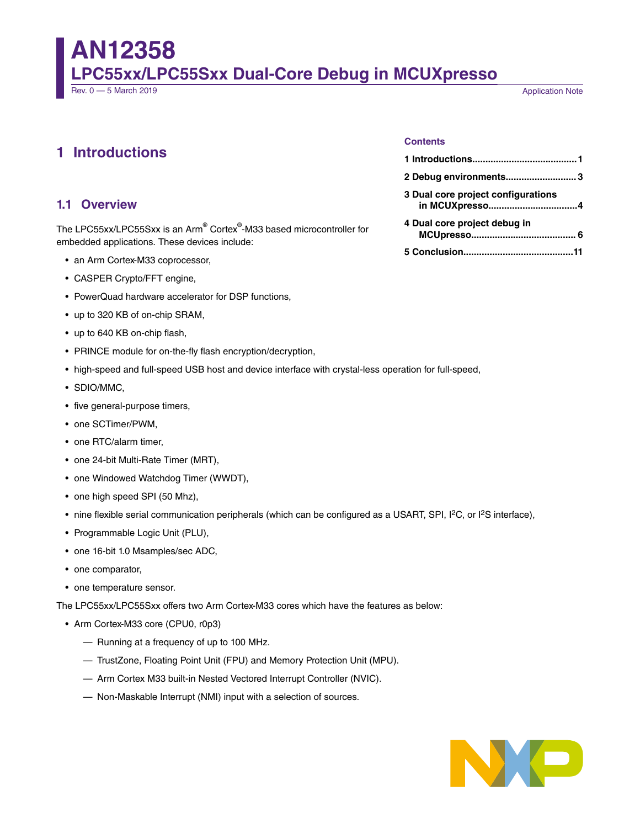# **AN12358 LPC55xx/LPC55Sxx Dual-Core Debug in MCUXpresso**

**Application Note** 

# **1 Introductions**

#### **Contents**

| 2 Debug environments3                                |  |
|------------------------------------------------------|--|
| 3 Dual core project configurations<br>in MCUXpresso4 |  |
| 4 Dual core project debug in                         |  |
|                                                      |  |

#### **1.1 Overview**

The LPC55xx/LPC55Sxx is an Arm® Cortex® -M33 based microcontroller for embedded applications. These devices include:

- an Arm Cortex-M33 coprocessor,
- CASPER Crypto/FFT engine,
- PowerQuad hardware accelerator for DSP functions,
- up to 320 KB of on-chip SRAM,
- up to 640 KB on-chip flash,
- PRINCE module for on-the-fly flash encryption/decryption,
- high-speed and full-speed USB host and device interface with crystal-less operation for full-speed,
- SDIO/MMC,
- five general-purpose timers,
- one SCTimer/PWM,
- one RTC/alarm timer,
- one 24-bit Multi-Rate Timer (MRT),
- one Windowed Watchdog Timer (WWDT),
- one high speed SPI (50 Mhz),
- nine flexible serial communication peripherals (which can be configured as a USART, SPI, I<sup>2</sup>C, or I<sup>2</sup>S interface),
- Programmable Logic Unit (PLU),
- one 16-bit 1.0 Msamples/sec ADC,
- one comparator,
- one temperature sensor.

The LPC55xx/LPC55Sxx offers two Arm Cortex-M33 cores which have the features as below:

- Arm Cortex-M33 core (CPU0, r0p3)
	- Running at a frequency of up to 100 MHz.
	- TrustZone, Floating Point Unit (FPU) and Memory Protection Unit (MPU).
	- Arm Cortex M33 built-in Nested Vectored Interrupt Controller (NVIC).
	- Non-Maskable Interrupt (NMI) input with a selection of sources.

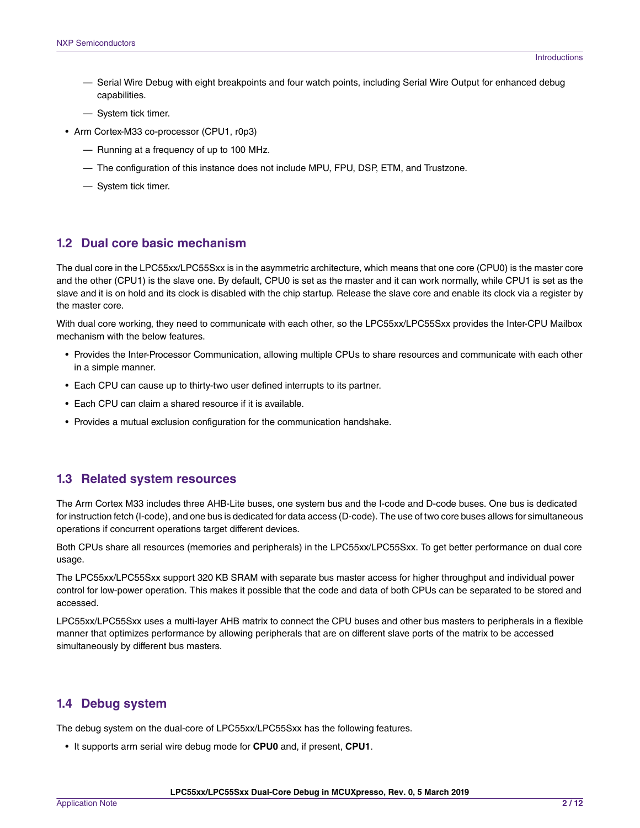- Serial Wire Debug with eight breakpoints and four watch points, including Serial Wire Output for enhanced debug capabilities.
- System tick timer.
- Arm Cortex-M33 co-processor (CPU1, r0p3)
	- Running at a frequency of up to 100 MHz.
	- The configuration of this instance does not include MPU, FPU, DSP, ETM, and Trustzone.
	- System tick timer.

#### **1.2 Dual core basic mechanism**

The dual core in the LPC55xx/LPC55Sxx is in the asymmetric architecture, which means that one core (CPU0) is the master core and the other (CPU1) is the slave one. By default, CPU0 is set as the master and it can work normally, while CPU1 is set as the slave and it is on hold and its clock is disabled with the chip startup. Release the slave core and enable its clock via a register by the master core.

With dual core working, they need to communicate with each other, so the LPC55xx/LPC55Sxx provides the Inter-CPU Mailbox mechanism with the below features.

- Provides the Inter-Processor Communication, allowing multiple CPUs to share resources and communicate with each other in a simple manner.
- Each CPU can cause up to thirty-two user defined interrupts to its partner.
- Each CPU can claim a shared resource if it is available.
- Provides a mutual exclusion configuration for the communication handshake.

#### **1.3 Related system resources**

The Arm Cortex M33 includes three AHB-Lite buses, one system bus and the I-code and D-code buses. One bus is dedicated for instruction fetch (I-code), and one bus is dedicated for data access (D-code). The use of two core buses allows for simultaneous operations if concurrent operations target different devices.

Both CPUs share all resources (memories and peripherals) in the LPC55xx/LPC55Sxx. To get better performance on dual core usage.

The LPC55xx/LPC55Sxx support 320 KB SRAM with separate bus master access for higher throughput and individual power control for low-power operation. This makes it possible that the code and data of both CPUs can be separated to be stored and accessed.

LPC55xx/LPC55Sxx uses a multi-layer AHB matrix to connect the CPU buses and other bus masters to peripherals in a flexible manner that optimizes performance by allowing peripherals that are on different slave ports of the matrix to be accessed simultaneously by different bus masters.

### **1.4 Debug system**

The debug system on the dual-core of LPC55xx/LPC55Sxx has the following features.

• It supports arm serial wire debug mode for **CPU0** and, if present, **CPU1**.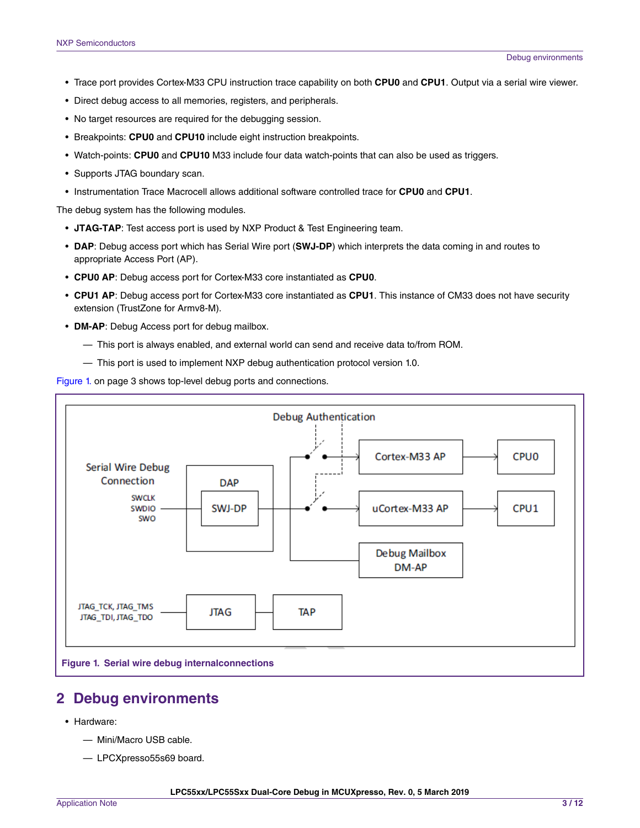- <span id="page-2-0"></span>• Trace port provides Cortex-M33 CPU instruction trace capability on both **CPU0** and **CPU1**. Output via a serial wire viewer.
- Direct debug access to all memories, registers, and peripherals.
- No target resources are required for the debugging session.
- Breakpoints: **CPU0** and **CPU10** include eight instruction breakpoints.
- Watch-points: **CPU0** and **CPU10** M33 include four data watch-points that can also be used as triggers.
- Supports JTAG boundary scan.
- Instrumentation Trace Macrocell allows additional software controlled trace for **CPU0** and **CPU1**.

The debug system has the following modules.

- **JTAG-TAP**: Test access port is used by NXP Product & Test Engineering team.
- **DAP**: Debug access port which has Serial Wire port (**SWJ-DP**) which interprets the data coming in and routes to appropriate Access Port (AP).
- **CPU0 AP**: Debug access port for Cortex-M33 core instantiated as **CPU0**.
- **CPU1 AP**: Debug access port for Cortex-M33 core instantiated as **CPU1**. This instance of CM33 does not have security extension (TrustZone for Armv8-M).
- **DM-AP**: Debug Access port for debug mailbox.
	- This port is always enabled, and external world can send and receive data to/from ROM.
	- This port is used to implement NXP debug authentication protocol version 1.0.

Figure 1. on page 3 shows top-level debug ports and connections.



## **2 Debug environments**

- Hardware:
	- Mini/Macro USB cable.
	- LPCXpresso55s69 board.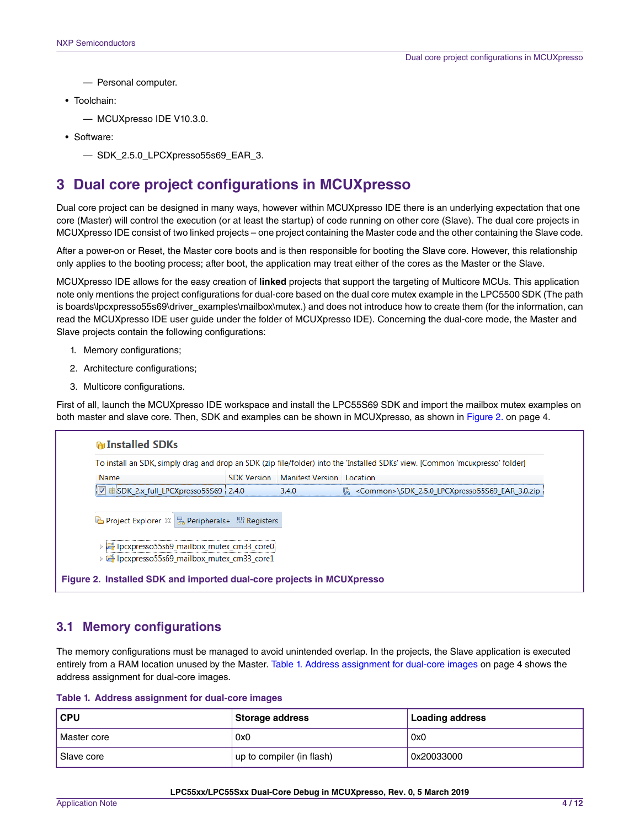<span id="page-3-0"></span>— Personal computer.

• Toolchain:

— MCUXpresso IDE V10.3.0.

• Software:

— SDK\_2.5.0\_LPCXpresso55s69\_EAR\_3.

## **3 Dual core project configurations in MCUXpresso**

Dual core project can be designed in many ways, however within MCUXpresso IDE there is an underlying expectation that one core (Master) will control the execution (or at least the startup) of code running on other core (Slave). The dual core projects in MCUXpresso IDE consist of two linked projects – one project containing the Master code and the other containing the Slave code.

After a power-on or Reset, the Master core boots and is then responsible for booting the Slave core. However, this relationship only applies to the booting process; after boot, the application may treat either of the cores as the Master or the Slave.

MCUXpresso IDE allows for the easy creation of **linked** projects that support the targeting of Multicore MCUs. This application note only mentions the project configurations for dual-core based on the dual core mutex example in the LPC5500 SDK (The path is boards\lpcxpresso55s69\driver\_examples\mailbox\mutex.) and does not introduce how to create them (for the information, can read the MCUXpresso IDE user guide under the folder of MCUXpresso IDE). Concerning the dual-core mode, the Master and Slave projects contain the following configurations:

- 1. Memory configurations;
- 2. Architecture configurations;
- 3. Multicore configurations.

First of all, launch the MCUXpresso IDE workspace and install the LPC55S69 SDK and import the mailbox mutex examples on both master and slave core. Then, SDK and examples can be shown in MCUXpresso, as shown in Figure 2. on page 4.



#### **3.1 Memory configurations**

The memory configurations must be managed to avoid unintended overlap. In the projects, the Slave application is executed entirely from a RAM location unused by the Master. Table 1. Address assignment for dual-core images on page 4 shows the address assignment for dual-core images.

**Table 1. Address assignment for dual-core images**

| CPU         | Storage address           | <b>Loading address</b> |
|-------------|---------------------------|------------------------|
| Master core | 0x0                       | 0x0                    |
| Slave core  | up to compiler (in flash) | 0x20033000             |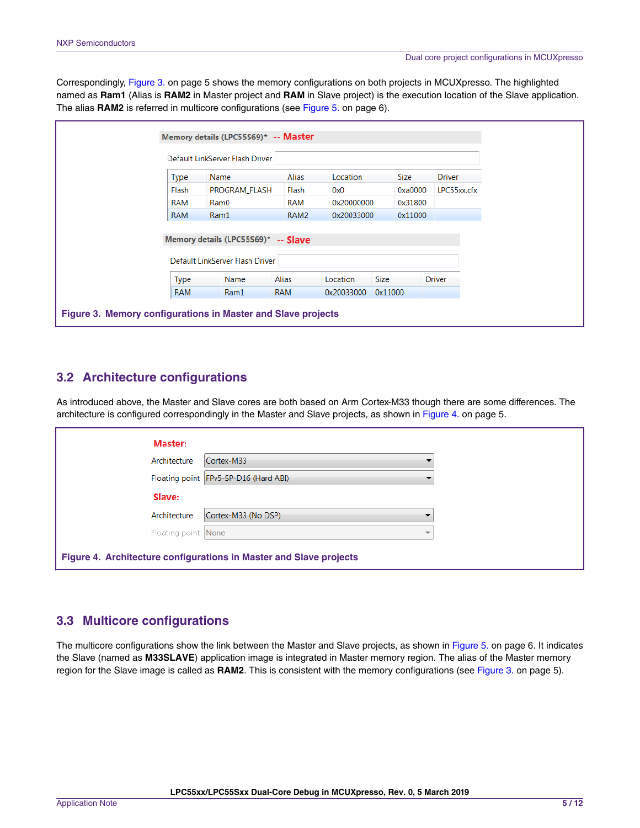Correspondingly, Figure 3. on page 5 shows the memory configurations on both projects in MCUXpresso. The highlighted named as **Ram1** (Alias is **RAM2** in Master project and **RAM** in Slave project) is the execution location of the Slave application. The alias **RAM2** is referred in multicore configurations (see [Figure 5. o](#page-5-0)n page 6).

|             | Default LinkServer Flash Driver     |                  |            |             |               |  |  |  |
|-------------|-------------------------------------|------------------|------------|-------------|---------------|--|--|--|
|             |                                     |                  |            |             |               |  |  |  |
| <b>Type</b> | Name                                | Alias            | Location   | Size        | <b>Driver</b> |  |  |  |
| Flash       | PROGRAM_FLASH                       | Flash            | 0x0        | 0xa0000     | LPC55xx.cfx   |  |  |  |
| RAM         | Ram0                                | RAM              | 0x20000000 | 0x31800     |               |  |  |  |
| <b>RAM</b>  | Ram1                                | RAM <sub>2</sub> | 0x20033000 | 0x11000     |               |  |  |  |
|             |                                     |                  |            |             |               |  |  |  |
|             | Memory details (LPC55569)* -- Slave |                  |            |             |               |  |  |  |
|             | Default LinkServer Flash Driver     |                  |            |             |               |  |  |  |
|             |                                     |                  |            |             |               |  |  |  |
|             | Name                                | <b>Alias</b>     | Location   | <b>Size</b> | <b>Driver</b> |  |  |  |
| <b>Type</b> |                                     |                  |            |             |               |  |  |  |

### **3.2 Architecture configurations**

As introduced above, the Master and Slave cores are both based on Arm Cortex-M33 though there are some differences. The architecture is configured correspondingly in the Master and Slave projects, as shown in Figure 4. on page 5.

| Master:             |                                                                    |  |
|---------------------|--------------------------------------------------------------------|--|
| Architecture        | Cortex-M33                                                         |  |
|                     | Floating point FPv5-SP-D16 (Hard ABI)                              |  |
| Slave:              |                                                                    |  |
| Architecture        | Cortex-M33 (No DSP)                                                |  |
| Floating point None |                                                                    |  |
|                     | Figure 4. Architecture configurations in Master and Slave projects |  |

### **3.3 Multicore configurations**

The multicore configurations show the link between the Master and Slave projects, as shown in [Figure 5.](#page-5-0) on page 6. It indicates the Slave (named as **M33SLAVE**) application image is integrated in Master memory region. The alias of the Master memory region for the Slave image is called as **RAM2**. This is consistent with the memory configurations (see Figure 3. on page 5).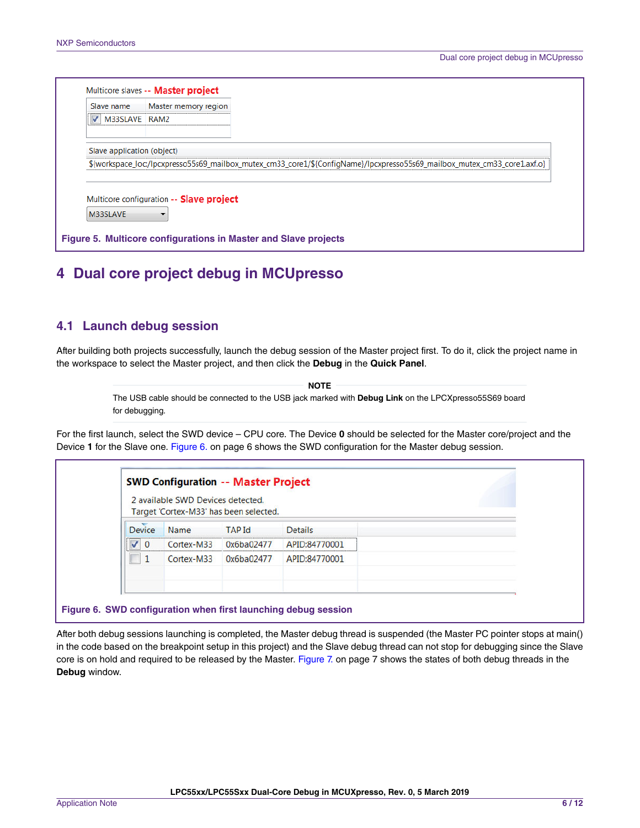<span id="page-5-0"></span>

| Slave name                 | Master memory region                     |                                                                                                                           |
|----------------------------|------------------------------------------|---------------------------------------------------------------------------------------------------------------------------|
| V M33SLAVE RAM2            |                                          |                                                                                                                           |
| Slave application (object) |                                          |                                                                                                                           |
|                            |                                          | \${workspace_loc:/lpcxpresso55s69_mailbox_mutex_cm33_core1/\${ConfigName}/lpcxpresso55s69_mailbox_mutex_cm33_core1.axf.o} |
|                            |                                          |                                                                                                                           |
|                            |                                          |                                                                                                                           |
|                            |                                          |                                                                                                                           |
|                            | Multicore configuration -- Slave project |                                                                                                                           |
| M33SLAVE                   |                                          |                                                                                                                           |

# **4 Dual core project debug in MCUpresso**

#### **4.1 Launch debug session**

After building both projects successfully, launch the debug session of the Master project first. To do it, click the project name in the workspace to select the Master project, and then click the **Debug** in the **Quick Panel**.

> The USB cable should be connected to the USB jack marked with **Debug Link** on the LPCXpresso55S69 board for debugging.  **NOTE**

For the first launch, select the SWD device – CPU core. The Device **0** should be selected for the Master core/project and the Device **1** for the Slave one. Figure 6. on page 6 shows the SWD configuration for the Master debug session.

|                                                          | 2 available SWD Devices detected.<br>Target 'Cortex-M33' has been selected. |  |  |  |  |  |  |  |
|----------------------------------------------------------|-----------------------------------------------------------------------------|--|--|--|--|--|--|--|
| <b>Device</b><br><b>Details</b><br><b>TAP Id</b><br>Name |                                                                             |  |  |  |  |  |  |  |
| Cortex-M33<br>APID:84770001<br>0x6ba02477<br>$\Omega$    |                                                                             |  |  |  |  |  |  |  |
| APID:84770001<br>Cortex-M33<br>0x6ba02477                |                                                                             |  |  |  |  |  |  |  |

After both debug sessions launching is completed, the Master debug thread is suspended (the Master PC pointer stops at main() in the code based on the breakpoint setup in this project) and the Slave debug thread can not stop for debugging since the Slave core is on hold and required to be released by the Master. [Figure 7.](#page-6-0) on page 7 shows the states of both debug threads in the **Debug** window.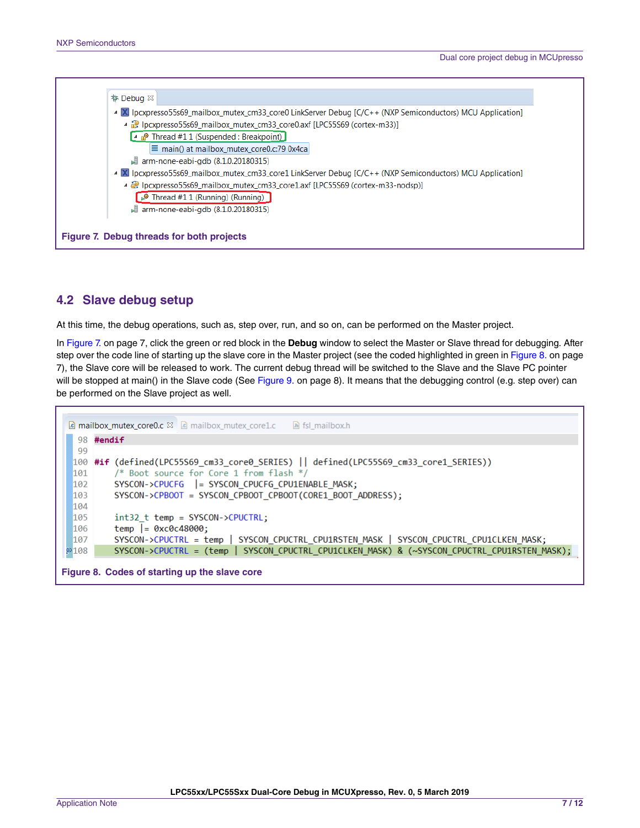<span id="page-6-0"></span>

## **4.2 Slave debug setup**

At this time, the debug operations, such as, step over, run, and so on, can be performed on the Master project.

In Figure 7. on page 7, click the green or red block in the **Debug** window to select the Master or Slave thread for debugging. After step over the code line of starting up the slave core in the Master project (see the coded highlighted in green in Figure 8. on page 7), the Slave core will be released to work. The current debug thread will be switched to the Slave and the Slave PC pointer will be stopped at main() in the Slave code (See [Figure 9.](#page-7-0) on page 8). It means that the debugging control (e.g. step over) can be performed on the Slave project as well.

```
c mailbox_mutex_core0.c & c mailbox_mutex_core1.c
                                            h fsl_mailbox.h
  98 #endif
  99
 100 #if (defined(LPC55S69 cm33 core0 SERIES) || defined(LPC55S69 cm33 core1 SERIES))
 191
          /* Boot source for Core 1 from flash */
 102
         103
         SYSCON->CPBOOT = SYSCON_CPBOOT_CPBOOT(CORE1_BOOT_ADDRESS);
 104
 105
          int32_t temp = SYSCON->CPUCTRL;
 106
          temp | = 0 \times 00048000;SYSCON->CPUCTRL = temp | SYSCON_CPUCTRL_CPU1RSTEN_MASK | SYSCON_CPUCTRL_CPU1CLKEN_MASK;
 107
2108SYSCON->CPUCTRL = (temp | SYSCON_CPUCTRL_CPU1CLKEN_MASK) & (~SYSCON_CPUCTRL_CPU1RSTEN_MASK);
Figure 8. Codes of starting up the slave core
```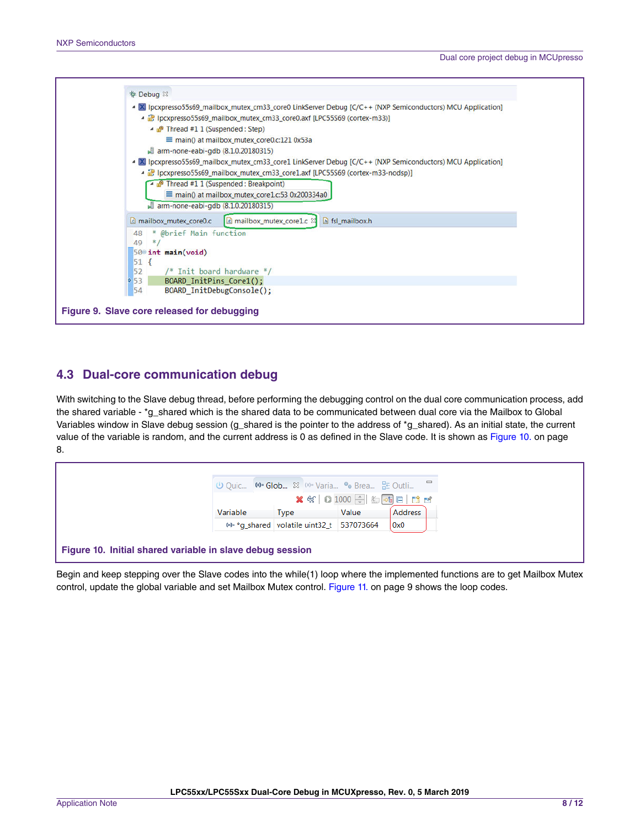<span id="page-7-0"></span>

## **4.3 Dual-core communication debug**

With switching to the Slave debug thread, before performing the debugging control on the dual core communication process, add the shared variable - \*g\_shared which is the shared data to be communicated between dual core via the Mailbox to Global Variables window in Slave debug session (g\_shared is the pointer to the address of \*g\_shared). As an initial state, the current value of the variable is random, and the current address is 0 as defined in the Slave code. It is shown as Figure 10. on page 8.

|                                                           | U Quic M= Glob & (x)= Varia • Brea B Outli = |                              |         |
|-----------------------------------------------------------|----------------------------------------------|------------------------------|---------|
|                                                           |                                              | <b>× 第 0 1000 ÷ 检动日 【 18</b> |         |
| Variable                                                  | <b>Type</b>                                  | Value                        | Address |
|                                                           | (x)= *g_shared volatile uint32_t 537073664   |                              | 0x0     |
| Figure 10. Initial shared variable in slave debug session |                                              |                              |         |

Begin and keep stepping over the Slave codes into the while(1) loop where the implemented functions are to get Mailbox Mutex control, update the global variable and set Mailbox Mutex control. [Figure 11. o](#page-8-0)n page 9 shows the loop codes.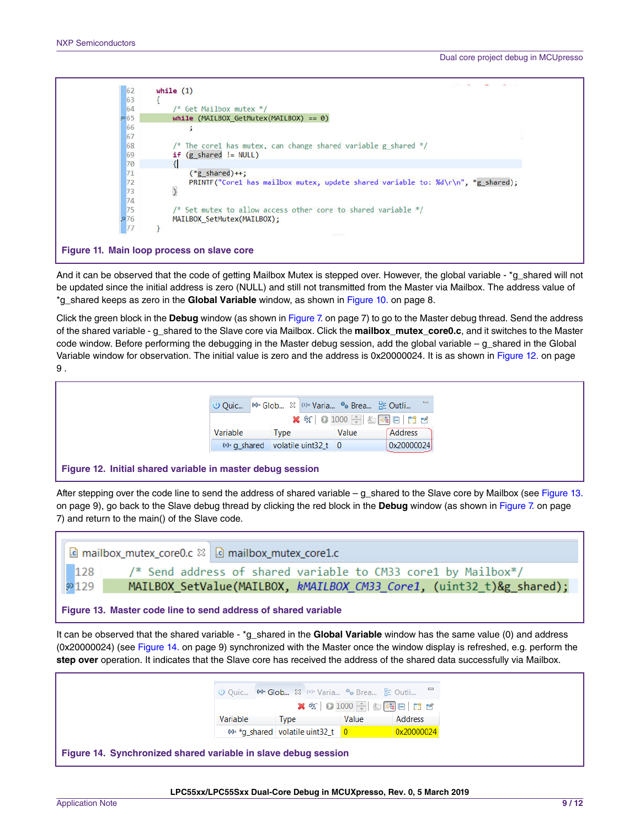<span id="page-8-0"></span>

And it can be observed that the code of getting Mailbox Mutex is stepped over. However, the global variable - \*g\_shared will not be updated since the initial address is zero (NULL) and still not transmitted from the Master via Mailbox. The address value of \*g\_shared keeps as zero in the **Global Variable** window, as shown in [Figure 10.](#page-7-0) on page 8.

Click the green block in the **Debug** window (as shown in [Figure 7.](#page-6-0) on page 7) to go to the Master debug thread. Send the address of the shared variable - g\_shared to the Slave core via Mailbox. Click the **mailbox\_mutex\_core0.c**, and it switches to the Master code window. Before performing the debugging in the Master debug session, add the global variable – g\_shared in the Global Variable window for observation. The initial value is zero and the address is 0x20000024. It is as shown in Figure 12. on page 9 .



#### **Figure 12. Initial shared variable in master debug session**

After stepping over the code line to send the address of shared variable – g\_shared to the Slave core by Mailbox (see Figure 13. on page 9), go back to the Slave debug thread by clicking the red block in the **Debug** window (as shown in [Figure 7. o](#page-6-0)n page 7) and return to the main() of the Slave code.



It can be observed that the shared variable - \*g\_shared in the **Global Variable** window has the same value (0) and address (0x20000024) (see Figure 14. on page 9) synchronized with the Master once the window display is refreshed, e.g. perform the **step over** operation. It indicates that the Slave core has received the address of the shared data successfully via Mailbox.

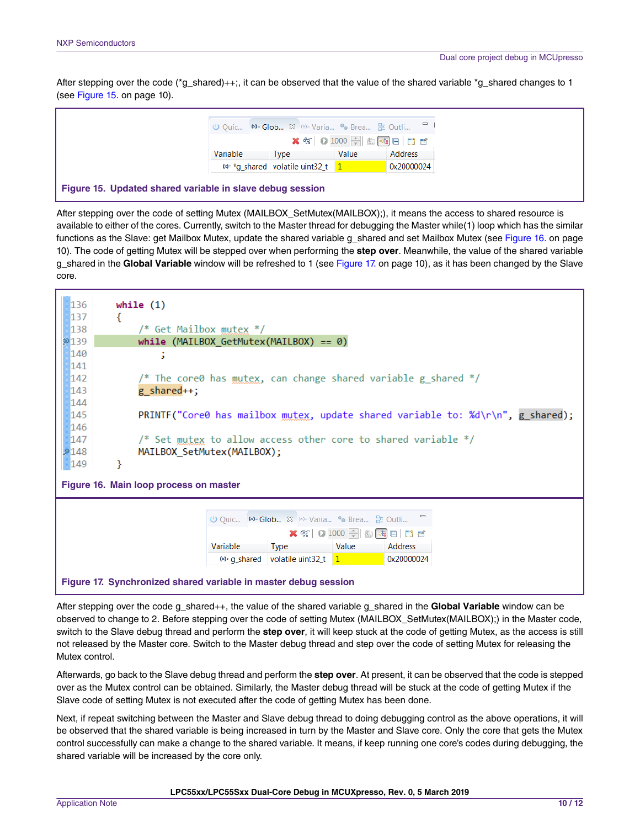After stepping over the code ( $^{\star}q$  shared)++;, it can be observed that the value of the shared variable  $^{\star}q$  shared changes to 1 (see Figure 15. on page 10).



After stepping over the code of setting Mutex (MAILBOX\_SetMutex(MAILBOX);), it means the access to shared resource is available to either of the cores. Currently, switch to the Master thread for debugging the Master while(1) loop which has the similar functions as the Slave: get Mailbox Mutex, update the shared variable g\_shared and set Mailbox Mutex (see Figure 16. on page 10). The code of getting Mutex will be stepped over when performing the **step over**. Meanwhile, the value of the shared variable g\_shared in the **Global Variable** window will be refreshed to 1 (see Figure 17. on page 10), as it has been changed by the Slave core.

| 136<br>137                                                                                                            | €                                                                                      | while $(1)$ |          |                                            |       |                |  |  |  |
|-----------------------------------------------------------------------------------------------------------------------|----------------------------------------------------------------------------------------|-------------|----------|--------------------------------------------|-------|----------------|--|--|--|
| 138                                                                                                                   | /* Get Mailbox mutex $*/$                                                              |             |          |                                            |       |                |  |  |  |
| 2139                                                                                                                  | $while (MAILBOX_GetMutex(MAILBOX) == 0)$                                               |             |          |                                            |       |                |  |  |  |
| 140                                                                                                                   | х                                                                                      |             |          |                                            |       |                |  |  |  |
| 141                                                                                                                   |                                                                                        |             |          |                                            |       |                |  |  |  |
| 142                                                                                                                   | /* The core0 has $multex$ , can change shared variable g_shared */                     |             |          |                                            |       |                |  |  |  |
| 143<br>g_shared++;                                                                                                    |                                                                                        |             |          |                                            |       |                |  |  |  |
| 144                                                                                                                   |                                                                                        |             |          |                                            |       |                |  |  |  |
|                                                                                                                       | 145<br>PRINTF("Core0 has mailbox mutex, update shared variable to: %d\r\n", g_shared); |             |          |                                            |       |                |  |  |  |
|                                                                                                                       | 146                                                                                    |             |          |                                            |       |                |  |  |  |
| 147                                                                                                                   | /* Set mutex to allow access other core to shared variable $*/$                        |             |          |                                            |       |                |  |  |  |
| 2148                                                                                                                  | MAILBOX SetMutex(MAILBOX);                                                             |             |          |                                            |       |                |  |  |  |
| ł<br>149                                                                                                              |                                                                                        |             |          |                                            |       |                |  |  |  |
| Figure 16. Main loop process on master                                                                                |                                                                                        |             |          |                                            |       |                |  |  |  |
|                                                                                                                       |                                                                                        |             |          |                                            |       |                |  |  |  |
| <b>U</b> Quic $\triangleright$ <b>⊗</b> Glob $\stackrel{\sim}{\infty}$ ( <sup>x)=</sup> Varia • G Brea <b>E</b> Outli |                                                                                        |             |          |                                            |       |                |  |  |  |
|                                                                                                                       | <b>× 名 0 1000 ÷ 名中日日日</b>                                                              |             |          |                                            |       |                |  |  |  |
|                                                                                                                       |                                                                                        |             | Variable | <b>Type</b>                                | Value | <b>Address</b> |  |  |  |
|                                                                                                                       |                                                                                        |             |          | $\frac{1}{2}$ a shared volatile uint32 t 1 |       | 0x20000024     |  |  |  |
|                                                                                                                       |                                                                                        |             |          |                                            |       |                |  |  |  |
| Figure 17. Synchronized shared variable in master debug session                                                       |                                                                                        |             |          |                                            |       |                |  |  |  |

After stepping over the code g\_shared++, the value of the shared variable g\_shared in the **Global Variable** window can be observed to change to 2. Before stepping over the code of setting Mutex (MAILBOX\_SetMutex(MAILBOX);) in the Master code, switch to the Slave debug thread and perform the **step over**, it will keep stuck at the code of getting Mutex, as the access is still not released by the Master core. Switch to the Master debug thread and step over the code of setting Mutex for releasing the Mutex control.

Afterwards, go back to the Slave debug thread and perform the **step over**. At present, it can be observed that the code is stepped over as the Mutex control can be obtained. Similarly, the Master debug thread will be stuck at the code of getting Mutex if the Slave code of setting Mutex is not executed after the code of getting Mutex has been done.

Next, if repeat switching between the Master and Slave debug thread to doing debugging control as the above operations, it will be observed that the shared variable is being increased in turn by the Master and Slave core. Only the core that gets the Mutex control successfully can make a change to the shared variable. It means, if keep running one core's codes during debugging, the shared variable will be increased by the core only.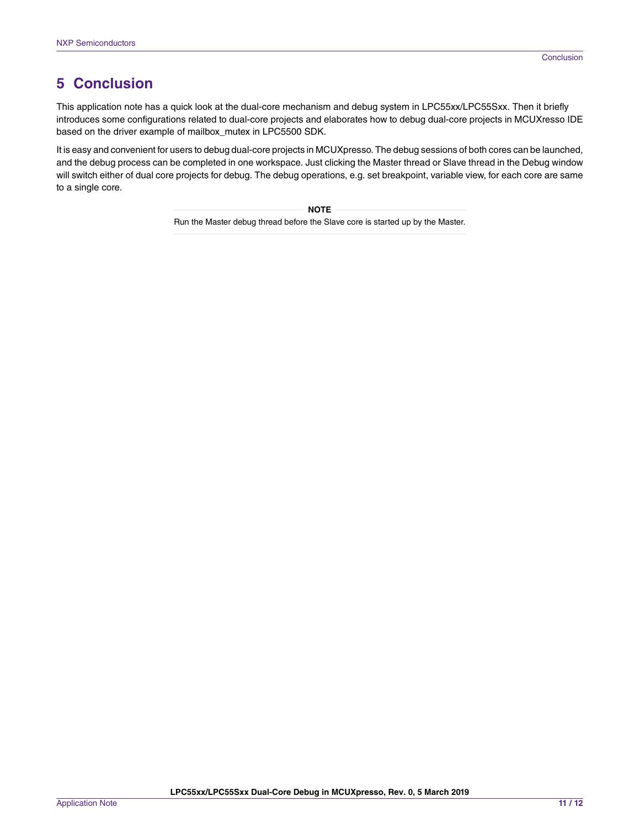# <span id="page-10-0"></span>**5 Conclusion**

This application note has a quick look at the dual-core mechanism and debug system in LPC55xx/LPC55Sxx. Then it briefly introduces some configurations related to dual-core projects and elaborates how to debug dual-core projects in MCUXresso IDE based on the driver example of mailbox\_mutex in LPC5500 SDK.

It is easy and convenient for users to debug dual-core projects in MCUXpresso. The debug sessions of both cores can be launched, and the debug process can be completed in one workspace. Just clicking the Master thread or Slave thread in the Debug window will switch either of dual core projects for debug. The debug operations, e.g. set breakpoint, variable view, for each core are same to a single core.

> Run the Master debug thread before the Slave core is started up by the Master.  **NOTE**